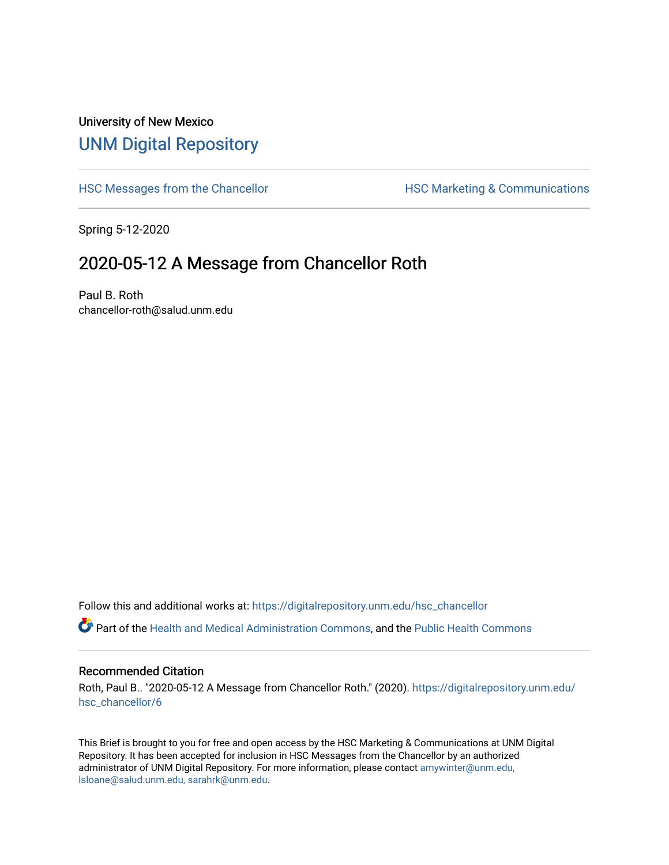## University of New Mexico [UNM Digital Repository](https://digitalrepository.unm.edu/)

[HSC Messages from the Chancellor](https://digitalrepository.unm.edu/hsc_chancellor) **HSC Marketing & Communications** 

Spring 5-12-2020

## 2020-05-12 A Message from Chancellor Roth

Paul B. Roth chancellor-roth@salud.unm.edu

Follow this and additional works at: [https://digitalrepository.unm.edu/hsc\\_chancellor](https://digitalrepository.unm.edu/hsc_chancellor?utm_source=digitalrepository.unm.edu%2Fhsc_chancellor%2F6&utm_medium=PDF&utm_campaign=PDFCoverPages) 

Part of the [Health and Medical Administration Commons](http://network.bepress.com/hgg/discipline/663?utm_source=digitalrepository.unm.edu%2Fhsc_chancellor%2F6&utm_medium=PDF&utm_campaign=PDFCoverPages), and the [Public Health Commons](http://network.bepress.com/hgg/discipline/738?utm_source=digitalrepository.unm.edu%2Fhsc_chancellor%2F6&utm_medium=PDF&utm_campaign=PDFCoverPages) 

## Recommended Citation

Roth, Paul B.. "2020-05-12 A Message from Chancellor Roth." (2020). [https://digitalrepository.unm.edu/](https://digitalrepository.unm.edu/hsc_chancellor/6?utm_source=digitalrepository.unm.edu%2Fhsc_chancellor%2F6&utm_medium=PDF&utm_campaign=PDFCoverPages) [hsc\\_chancellor/6](https://digitalrepository.unm.edu/hsc_chancellor/6?utm_source=digitalrepository.unm.edu%2Fhsc_chancellor%2F6&utm_medium=PDF&utm_campaign=PDFCoverPages)

This Brief is brought to you for free and open access by the HSC Marketing & Communications at UNM Digital Repository. It has been accepted for inclusion in HSC Messages from the Chancellor by an authorized administrator of UNM Digital Repository. For more information, please contact [amywinter@unm.edu,](mailto:amywinter@unm.edu,%20lsloane@salud.unm.edu,%20sarahrk@unm.edu) [lsloane@salud.unm.edu, sarahrk@unm.edu.](mailto:amywinter@unm.edu,%20lsloane@salud.unm.edu,%20sarahrk@unm.edu)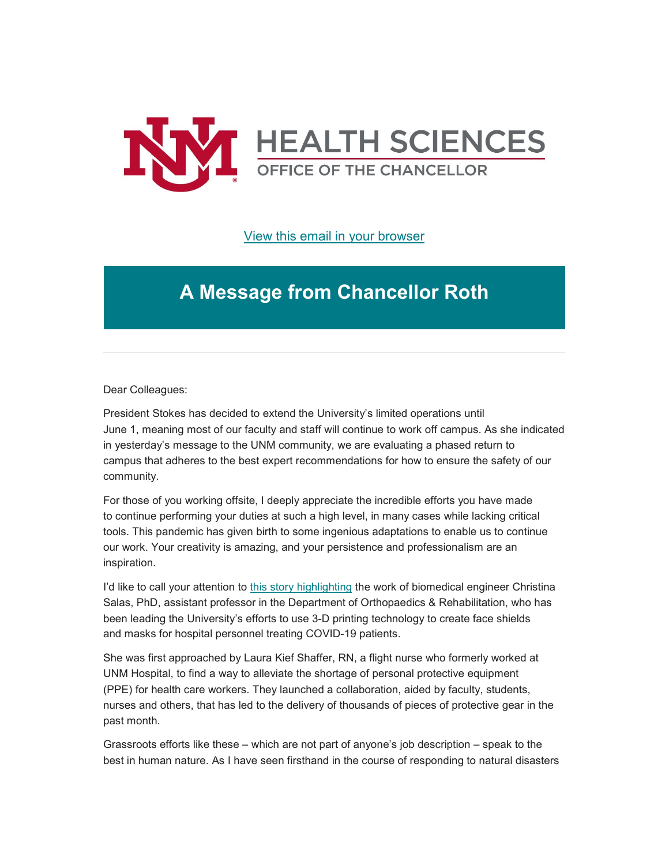

[View this email in your browser](https://mailchi.mp/f607e8f3c2bb/message-from-the-chancellor-coronavirus-4412904?e=b4bbfca2c0)

## **A Message from Chancellor Roth**

Dear Colleagues:

President Stokes has decided to extend the University's limited operations until June 1, meaning most of our faculty and staff will continue to work off campus. As she indicated in yesterday's message to the UNM community, we are evaluating a phased return to campus that adheres to the best expert recommendations for how to ensure the safety of our community.

For those of you working offsite, I deeply appreciate the incredible efforts you have made to continue performing your duties at such a high level, in many cases while lacking critical tools. This pandemic has given birth to some ingenious adaptations to enable us to continue our work. Your creativity is amazing, and your persistence and professionalism are an inspiration.

I'd like to call your attention to this story [highlighting](https://unm.us19.list-manage.com/track/click?u=59ce53c1a4dedb490bac78648&id=a5971e0e83&e=b4bbfca2c0) the work of biomedical engineer Christina Salas, PhD, assistant professor in the Department of Orthopaedics & Rehabilitation, who has been leading the University's efforts to use 3-D printing technology to create face shields and masks for hospital personnel treating COVID-19 patients.

She was first approached by Laura Kief Shaffer, RN, a flight nurse who formerly worked at UNM Hospital, to find a way to alleviate the shortage of personal protective equipment (PPE) for health care workers. They launched a collaboration, aided by faculty, students, nurses and others, that has led to the delivery of thousands of pieces of protective gear in the past month.

Grassroots efforts like these – which are not part of anyone's job description – speak to the best in human nature. As I have seen firsthand in the course of responding to natural disasters